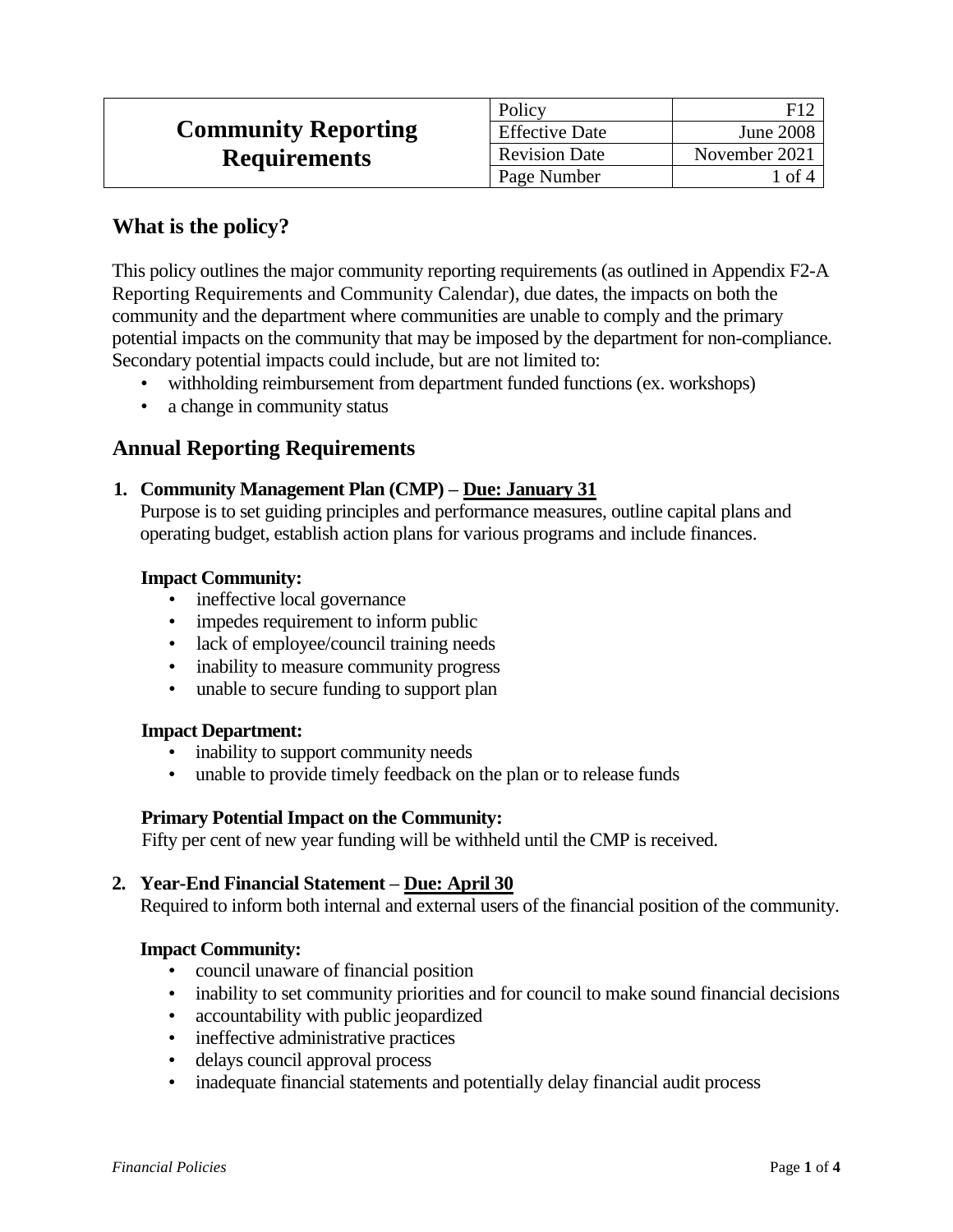|                            | Policy                | E17              |
|----------------------------|-----------------------|------------------|
| <b>Community Reporting</b> | <b>Effective Date</b> | <b>June 2008</b> |
| <b>Requirements</b>        | <b>Revision Date</b>  | November 2021    |
|                            | Page Number           | l of 4           |

# **What is the policy?**

This policy outlines the major community reporting requirements (as outlined in Appendix F2-A Reporting Requirements and Community Calendar), due dates, the impacts on both the community and the department where communities are unable to comply and the primary potential impacts on the community that may be imposed by the department for non-compliance. Secondary potential impacts could include, but are not limited to:

- withholding reimbursement from department funded functions (ex. workshops)
- a change in community status

# **Annual Reporting Requirements**

### **1. Community Management Plan (CMP) – Due: January 31**

Purpose is to set guiding principles and performance measures, outline capital plans and operating budget, establish action plans for various programs and include finances.

### **Impact Community:**

- ineffective local governance
- impedes requirement to inform public
- lack of employee/council training needs
- inability to measure community progress
- unable to secure funding to support plan

#### **Impact Department:**

- inability to support community needs
- unable to provide timely feedback on the plan or to release funds

#### **Primary Potential Impact on the Community:**

Fifty per cent of new year funding will be withheld until the CMP is received.

# **2. Year-End Financial Statement – Due: April 30**

Required to inform both internal and external users of the financial position of the community.

#### **Impact Community:**

- council unaware of financial position
- inability to set community priorities and for council to make sound financial decisions
- accountability with public jeopardized
- ineffective administrative practices
- delays council approval process
- inadequate financial statements and potentially delay financial audit process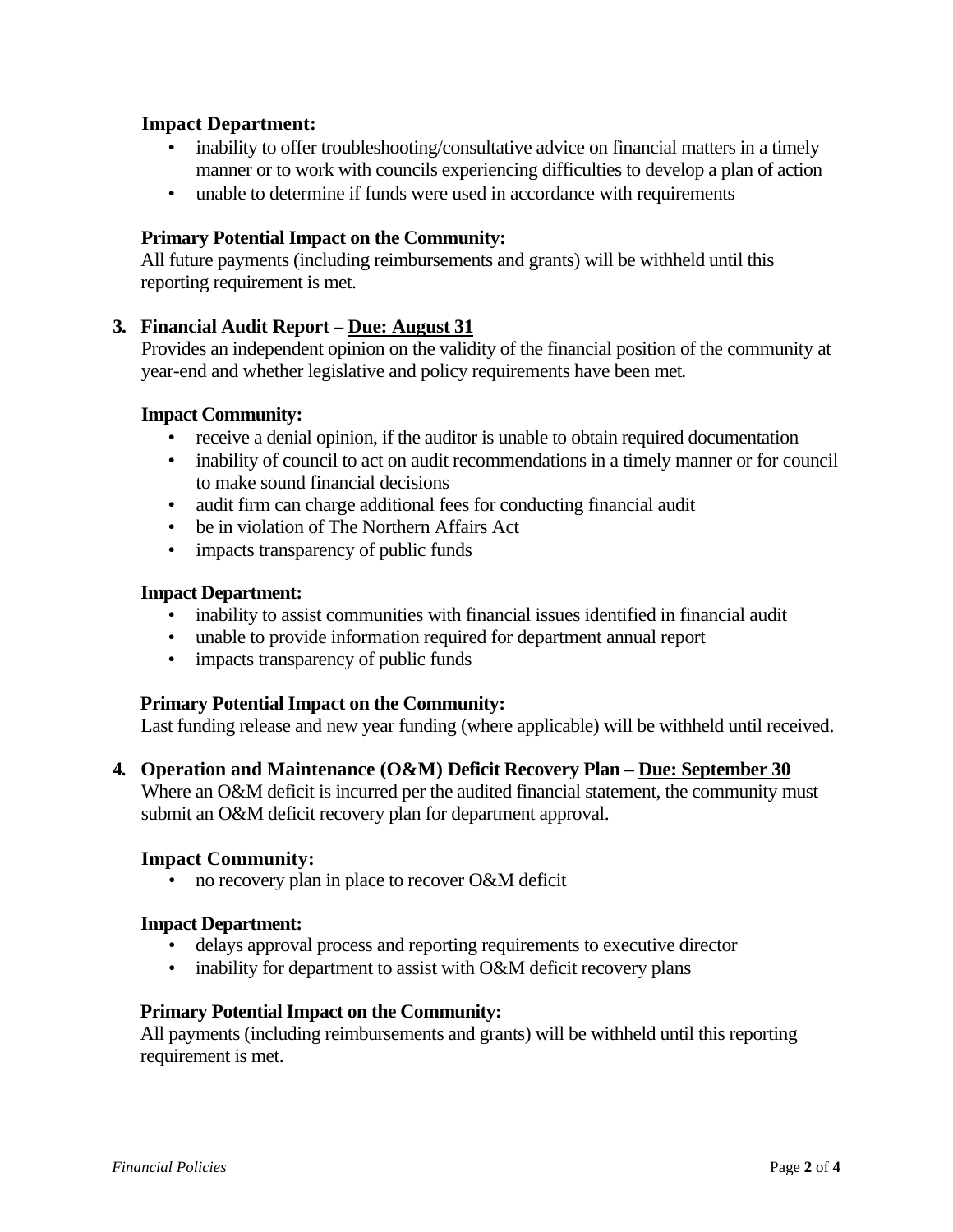### **Impact Department:**

- inability to offer troubleshooting/consultative advice on financial matters in a timely manner or to work with councils experiencing difficulties to develop a plan of action
- unable to determine if funds were used in accordance with requirements

### **Primary Potential Impact on the Community:**

All future payments (including reimbursements and grants) will be withheld until this reporting requirement is met.

#### **3. Financial Audit Report – Due: August 31**

Provides an independent opinion on the validity of the financial position of the community at year-end and whether legislative and policy requirements have been met.

#### **Impact Community:**

- receive a denial opinion, if the auditor is unable to obtain required documentation
- inability of council to act on audit recommendations in a timely manner or for council to make sound financial decisions
- audit firm can charge additional fees for conducting financial audit
- be in violation of The Northern Affairs Act
- impacts transparency of public funds

#### **Impact Department:**

- inability to assist communities with financial issues identified in financial audit
- unable to provide information required for department annual report
- impacts transparency of public funds

#### **Primary Potential Impact on the Community:**

Last funding release and new year funding (where applicable) will be withheld until received.

#### **4. Operation and Maintenance (O&M) Deficit Recovery Plan – Due: September 30**

Where an O&M deficit is incurred per the audited financial statement, the community must submit an O&M deficit recovery plan for department approval.

#### **Impact Community:**

• no recovery plan in place to recover O&M deficit

#### **Impact Department:**

- delays approval process and reporting requirements to executive director
- inability for department to assist with O&M deficit recovery plans

#### **Primary Potential Impact on the Community:**

All payments (including reimbursements and grants) will be withheld until this reporting requirement is met.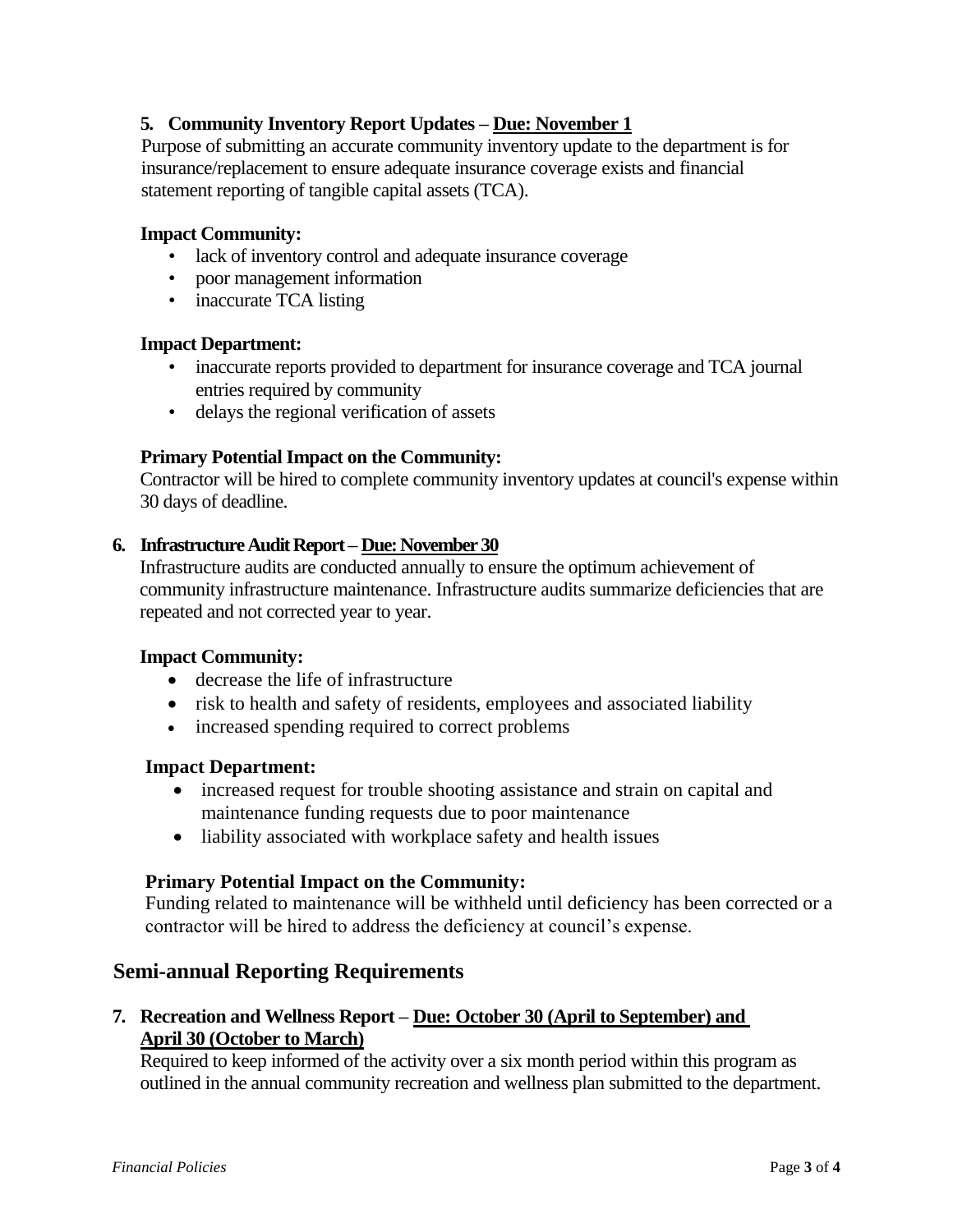# **5. Community Inventory Report Updates – Due: November 1**

Purpose of submitting an accurate community inventory update to the department is for insurance/replacement to ensure adequate insurance coverage exists and financial statement reporting of tangible capital assets (TCA).

#### **Impact Community:**

- lack of inventory control and adequate insurance coverage
- poor management information
- inaccurate TCA listing

#### **Impact Department:**

- inaccurate reports provided to department for insurance coverage and TCA journal entries required by community
- delays the regional verification of assets

### **Primary Potential Impact on the Community:**

Contractor will be hired to complete community inventory updates at council's expense within 30 days of deadline.

#### **6. Infrastructure Audit Report – Due: November 30**

Infrastructure audits are conducted annually to ensure the optimum achievement of community infrastructure maintenance. Infrastructure audits summarize deficiencies that are repeated and not corrected year to year.

#### **Impact Community:**

- decrease the life of infrastructure
- risk to health and safety of residents, employees and associated liability
- increased spending required to correct problems

#### **Impact Department:**

- increased request for trouble shooting assistance and strain on capital and maintenance funding requests due to poor maintenance
- liability associated with workplace safety and health issues

#### **Primary Potential Impact on the Community:**

Funding related to maintenance will be withheld until deficiency has been corrected or a contractor will be hired to address the deficiency at council's expense.

# **Semi-annual Reporting Requirements**

**7. Recreation and Wellness Report – Due: October 30 (April to September) and April 30 (October to March)**

Required to keep informed of the activity over a six month period within this program as outlined in the annual community recreation and wellness plan submitted to the department.